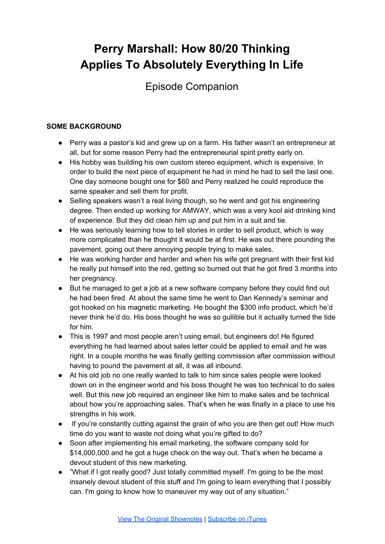# **Perry Marshall: How 80/20 Thinking Applies To Absolutely Everything In Life**

Episode Companion

## **SOME BACKGROUND**

- Perry was a pastor's kid and grew up on a farm. His father wasn't an entrepreneur at all, but for some reason Perry had the entrepreneurial spirit pretty early on.
- His hobby was building his own custom stereo equipment, which is expensive. In order to build the next piece of equipment he had in mind he had to sell the last one. One day someone bought one for \$60 and Perry realized he could reproduce the same speaker and sell them for profit.
- Selling speakers wasn't a real living though, so he went and got his engineering degree. Then ended up working for AMWAY, which was a very kool aid drinking kind of experience. But they did clean him up and put him in a suit and tie.
- He was seriously learning how to tell stories in order to sell product, which is way more complicated than he thought it would be at first. He was out there pounding the pavement, going out there annoying people trying to make sales.
- He was working harder and harder and when his wife got pregnant with their first kid he really put himself into the red, getting so burned out that he got fired 3 months into her pregnancy.
- But he managed to get a job at a new software company before they could find out he had been fired. At about the same time he went to Dan Kennedy's seminar and got hooked on his magnetic marketing. He bought the \$300 info product, which he'd never think he'd do. His boss thought he was so gullible but it actually turned the tide for him.
- This is 1997 and most people aren't using email, but engineers do! He figured everything he had learned about sales letter could be applied to email and he was right. In a couple months he was finally getting commission after commission without having to pound the pavement at all, it was all inbound.
- At his old job no one really wanted to talk to him since sales people were looked down on in the engineer world and his boss thought he was too technical to do sales well. But this new job required an engineer like him to make sales and be technical about how you're approaching sales. That's when he was finally in a place to use his strengths in his work.
- If you're constantly cutting against the grain of who you are then get out! How much time do you want to waste not doing what you're gifted to do?
- Soon after implementing his email marketing, the software company sold for \$14,000,000 and he got a huge check on the way out. That's when he became a devout student of this new marketing.
- "What if I got really good? Just totally committed myself. I'm going to be the most insanely devout student of this stuff and I'm going to learn everything that I possibly can. I'm going to know how to maneuver my way out of any situation."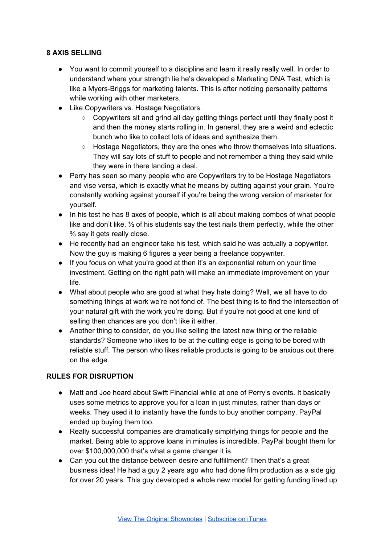## **8 AXIS SELLING**

- You want to commit yourself to a discipline and learn it really really well. In order to understand where your strength lie he's developed a Marketing DNA Test, which is like a Myers-Briggs for marketing talents. This is after noticing personality patterns while working with other marketers.
- Like Copywriters vs. Hostage Negotiators.
	- Copywriters sit and grind all day getting things perfect until they finally post it and then the money starts rolling in. In general, they are a weird and eclectic bunch who like to collect lots of ideas and synthesize them.
	- Hostage Negotiators, they are the ones who throw themselves into situations. They will say lots of stuff to people and not remember a thing they said while they were in there landing a deal.
- Perry has seen so many people who are Copywriters try to be Hostage Negotiators and vise versa, which is exactly what he means by cutting against your grain. You're constantly working against yourself if you're being the wrong version of marketer for yourself.
- In his test he has 8 axes of people, which is all about making combos of what people like and don't like. ⅓ of his students say the test nails them perfectly, while the other ⅔ say it gets really close.
- He recently had an engineer take his test, which said he was actually a copywriter. Now the guy is making 6 figures a year being a freelance copywriter.
- If you focus on what you're good at then it's an exponential return on your time investment. Getting on the right path will make an immediate improvement on your life.
- What about people who are good at what they hate doing? Well, we all have to do something things at work we're not fond of. The best thing is to find the intersection of your natural gift with the work you're doing. But if you're not good at one kind of selling then chances are you don't like it either.
- Another thing to consider, do you like selling the latest new thing or the reliable standards? Someone who likes to be at the cutting edge is going to be bored with reliable stuff. The person who likes reliable products is going to be anxious out there on the edge.

#### **RULES FOR DISRUPTION**

- Matt and Joe heard about Swift Financial while at one of Perry's events. It basically uses some metrics to approve you for a loan in just minutes, rather than days or weeks. They used it to instantly have the funds to buy another company. PayPal ended up buying them too.
- Really successful companies are dramatically simplifying things for people and the market. Being able to approve loans in minutes is incredible. PayPal bought them for over \$100,000,000 that's what a game changer it is.
- Can you cut the distance between desire and fulfillment? Then that's a great business idea! He had a guy 2 years ago who had done film production as a side gig for over 20 years. This guy developed a whole new model for getting funding lined up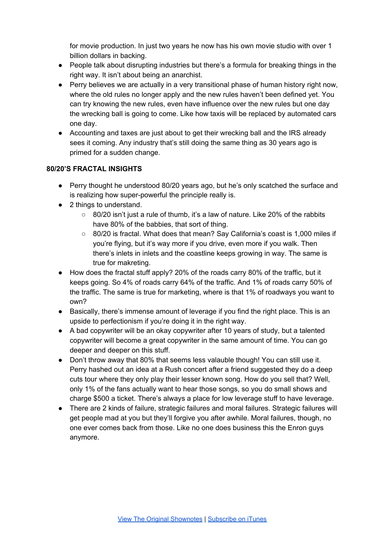for movie production. In just two years he now has his own movie studio with over 1 billion dollars in backing.

- People talk about disrupting industries but there's a formula for breaking things in the right way. It isn't about being an anarchist.
- Perry believes we are actually in a very transitional phase of human history right now, where the old rules no longer apply and the new rules haven't been defined yet. You can try knowing the new rules, even have influence over the new rules but one day the wrecking ball is going to come. Like how taxis will be replaced by automated cars one day.
- Accounting and taxes are just about to get their wrecking ball and the IRS already sees it coming. Any industry that's still doing the same thing as 30 years ago is primed for a sudden change.

### **80/20'S FRACTAL INSIGHTS**

- Perry thought he understood 80/20 years ago, but he's only scatched the surface and is realizing how super-powerful the principle really is.
- 2 things to understand.
	- $\circ$  80/20 isn't just a rule of thumb, it's a law of nature. Like 20% of the rabbits have 80% of the babbies, that sort of thing.
	- 80/20 is fractal. What does that mean? Say California's coast is 1,000 miles if you're flying, but it's way more if you drive, even more if you walk. Then there's inlets in inlets and the coastline keeps growing in way. The same is true for makreting.
- How does the fractal stuff apply? 20% of the roads carry 80% of the traffic, but it keeps going. So 4% of roads carry 64% of the traffic. And 1% of roads carry 50% of the traffic. The same is true for marketing, where is that 1% of roadways you want to own?
- Basically, there's immense amount of leverage if you find the right place. This is an upside to perfectionism if you're doing it in the right way.
- A bad copywriter will be an okay copywriter after 10 years of study, but a talented copywriter will become a great copywriter in the same amount of time. You can go deeper and deeper on this stuff.
- Don't throw away that 80% that seems less valauble though! You can still use it. Perry hashed out an idea at a Rush concert after a friend suggested they do a deep cuts tour where they only play their lesser known song. How do you sell that? Well, only 1% of the fans actually want to hear those songs, so you do small shows and charge \$500 a ticket. There's always a place for low leverage stuff to have leverage.
- There are 2 kinds of failure, strategic failures and moral failures. Strategic failures will get people mad at you but they'll forgive you after awhile. Moral failures, though, no one ever comes back from those. Like no one does business this the Enron guys anymore.